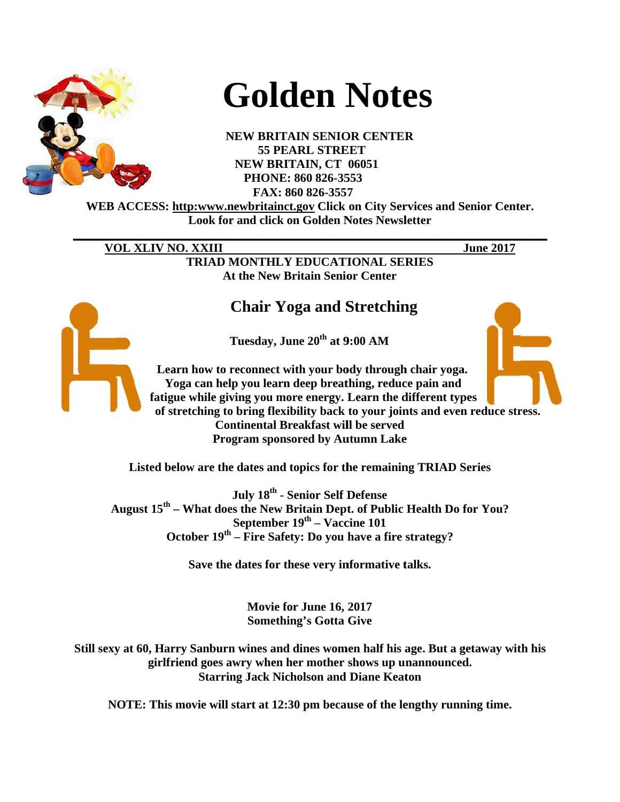

# **Golden Notes**

**NEW BRITAIN SENIOR CENTER 55 PEARL STREET NEW BRITAIN, CT 06051** PHONE: 860 826-3553 FAX: 860 826-3557

WEB ACCESS: http:www.newbritainct.gov Click on City Services and Senior Center. **Look for and click on Golden Notes Newsletter** 

VOL XLIV NO. XXIII

**June 2017** 

**TRIAD MONTHLY EDUCATIONAL SERIES At the New Britain Senior Center** 

# **Chair Yoga and Stretching**

Tuesday, June 20<sup>th</sup> at 9:00 AM

Learn how to reconnect with your body through chair yoga. Yoga can help you learn deep breathing, reduce pain and fatigue while giving you more energy. Learn the different types of stretching to bring flexibility back to your joints and even reduce stress. **Continental Breakfast will be served Program sponsored by Autumn Lake** 

Listed below are the dates and topics for the remaining TRIAD Series

July 18<sup>th</sup> - Senior Self Defense August 15<sup>th</sup> – What does the New Britain Dept. of Public Health Do for You? September  $19<sup>th</sup> - \text{Vaccine } 101$ October 19<sup>th</sup> – Fire Safety: Do you have a fire strategy?

Save the dates for these very informative talks.

Movie for June 16, 2017 **Something's Gotta Give** 

Still sexy at 60, Harry Sanburn wines and dines women half his age. But a getaway with his girlfriend goes awry when her mother shows up unannounced. **Starring Jack Nicholson and Diane Keaton** 

NOTE: This movie will start at 12:30 pm because of the lengthy running time.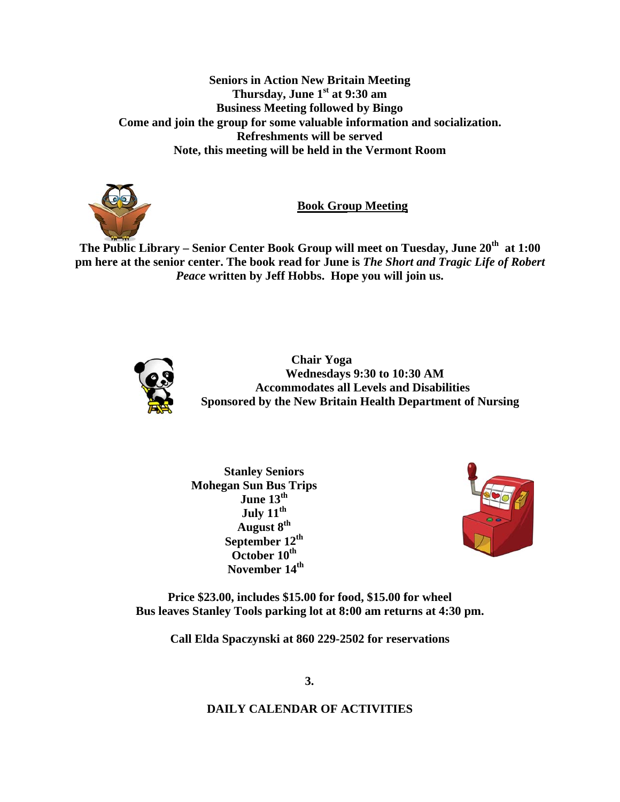**Seniors in Action New Britain Meeting** Thursday, June 1<sup>st</sup> at 9:30 am **Business Meeting followed by Bingo** Come and join the group for some valuable information and socialization. Refreshments will be served Note, this meeting will be held in the Vermont Room



**Book Group Meeting** 

The Public Library – Senior Center Book Group will meet on Tuesday, June 20<sup>th</sup> at 1:00 pm here at the senior center. The book read for June is The Short and Tragic Life of Robert Peace written by Jeff Hobbs. Hope you will join us.



**Chair Yoga Wednesdays 9:30 to 10:30 AM Accommodates all Levels and Disabilities** Sponsored by the New Britain Health Department of Nursing

**Stanley Seniors Mohegan Sun Bus Trips** June  $13^{\text{th}}$ July 11<sup>th</sup> August 8<sup>th</sup> September 12<sup>th</sup> October 10<sup>th</sup> November 14<sup>th</sup>



Price \$23.00, includes \$15.00 for food, \$15.00 for wheel Bus leaves Stanley Tools parking lot at 8:00 am returns at 4:30 pm.

Call Elda Spaczynski at 860 229-2502 for reservations

# **DAILY CALENDAR OF ACTIVITIES**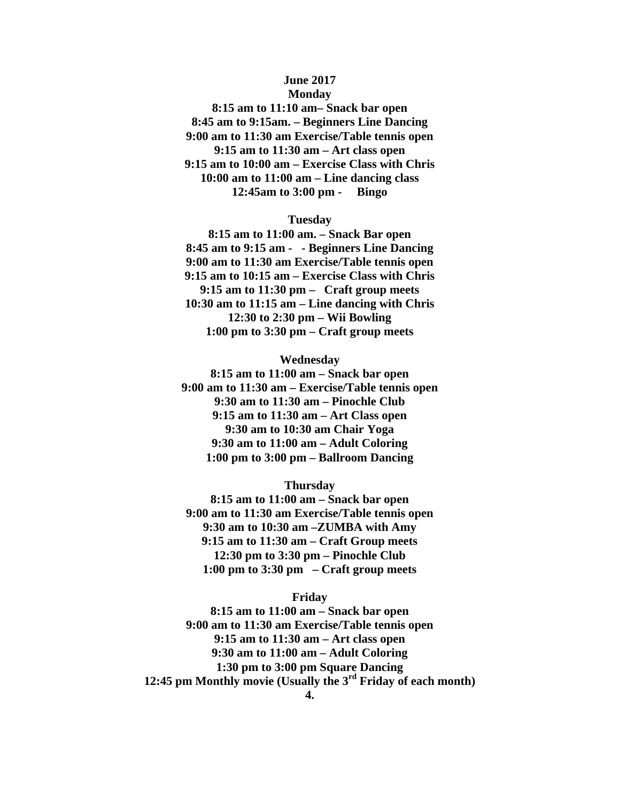# **June 2017 Monday**

**8:15 am to 11:10 am– Snack bar open 8:45 am to 9:15am. – Beginners Line Dancing 9:00 am to 11:30 am Exercise/Table tennis open 9:15 am to 11:30 am – Art class open 9:15 am to 10:00 am – Exercise Class with Chris 10:00 am to 11:00 am – Line dancing class 12:45am to 3:00 pm - Bingo** 

## **Tuesday**

**8:15 am to 11:00 am. – Snack Bar open 8:45 am to 9:15 am - - Beginners Line Dancing 9:00 am to 11:30 am Exercise/Table tennis open 9:15 am to 10:15 am – Exercise Class with Chris 9:15 am to 11:30 pm – Craft group meets 10:30 am to 11:15 am – Line dancing with Chris 12:30 to 2:30 pm – Wii Bowling 1:00 pm to 3:30 pm – Craft group meets** 

# **Wednesday**

**8:15 am to 11:00 am – Snack bar open 9:00 am to 11:30 am – Exercise/Table tennis open 9:30 am to 11:30 am – Pinochle Club 9:15 am to 11:30 am – Art Class open 9:30 am to 10:30 am Chair Yoga 9:30 am to 11:00 am – Adult Coloring 1:00 pm to 3:00 pm – Ballroom Dancing** 

# **Thursday**

**8:15 am to 11:00 am – Snack bar open 9:00 am to 11:30 am Exercise/Table tennis open 9:30 am to 10:30 am –ZUMBA with Amy 9:15 am to 11:30 am – Craft Group meets 12:30 pm to 3:30 pm – Pinochle Club 1:00 pm to 3:30 pm – Craft group meets** 

# **Friday**

**8:15 am to 11:00 am – Snack bar open 9:00 am to 11:30 am Exercise/Table tennis open 9:15 am to 11:30 am – Art class open 9:30 am to 11:00 am – Adult Coloring 1:30 pm to 3:00 pm Square Dancing 12:45 pm Monthly movie (Usually the 3rd Friday of each month)**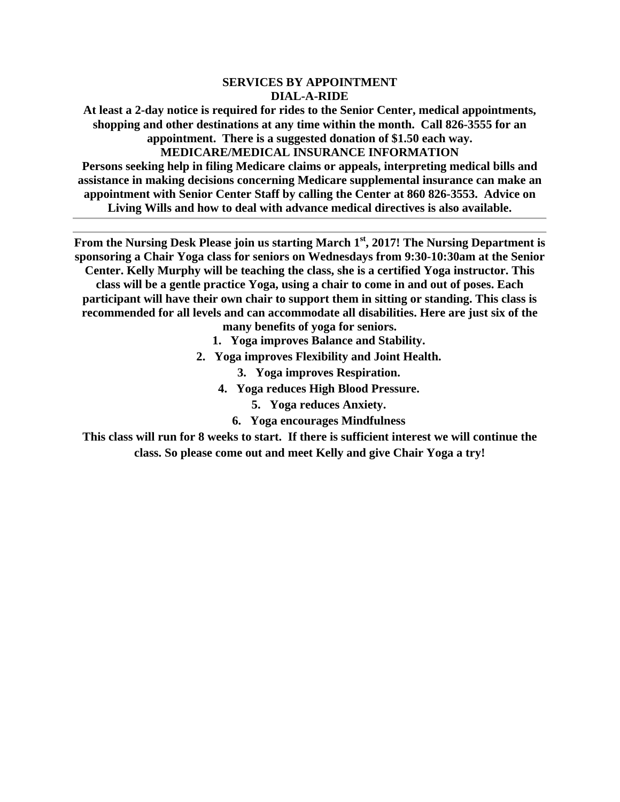# **SERVICES BY APPOINTMENT DIAL-A-RIDE**

**At least a 2-day notice is required for rides to the Senior Center, medical appointments, shopping and other destinations at any time within the month. Call 826-3555 for an appointment. There is a suggested donation of \$1.50 each way.** 

**MEDICARE/MEDICAL INSURANCE INFORMATION** 

**Persons seeking help in filing Medicare claims or appeals, interpreting medical bills and assistance in making decisions concerning Medicare supplemental insurance can make an appointment with Senior Center Staff by calling the Center at 860 826-3553. Advice on Living Wills and how to deal with advance medical directives is also available.** 

**From the Nursing Desk Please join us starting March 1st, 2017! The Nursing Department is sponsoring a Chair Yoga class for seniors on Wednesdays from 9:30-10:30am at the Senior Center. Kelly Murphy will be teaching the class, she is a certified Yoga instructor. This class will be a gentle practice Yoga, using a chair to come in and out of poses. Each** 

**participant will have their own chair to support them in sitting or standing. This class is recommended for all levels and can accommodate all disabilities. Here are just six of the many benefits of yoga for seniors.** 

- **1. Yoga improves Balance and Stability.**
- **2. Yoga improves Flexibility and Joint Health.** 
	- **3. Yoga improves Respiration.**
	- **4. Yoga reduces High Blood Pressure.** 
		- **5. Yoga reduces Anxiety.**
		- **6. Yoga encourages Mindfulness**

**This class will run for 8 weeks to start. If there is sufficient interest we will continue the class. So please come out and meet Kelly and give Chair Yoga a try!**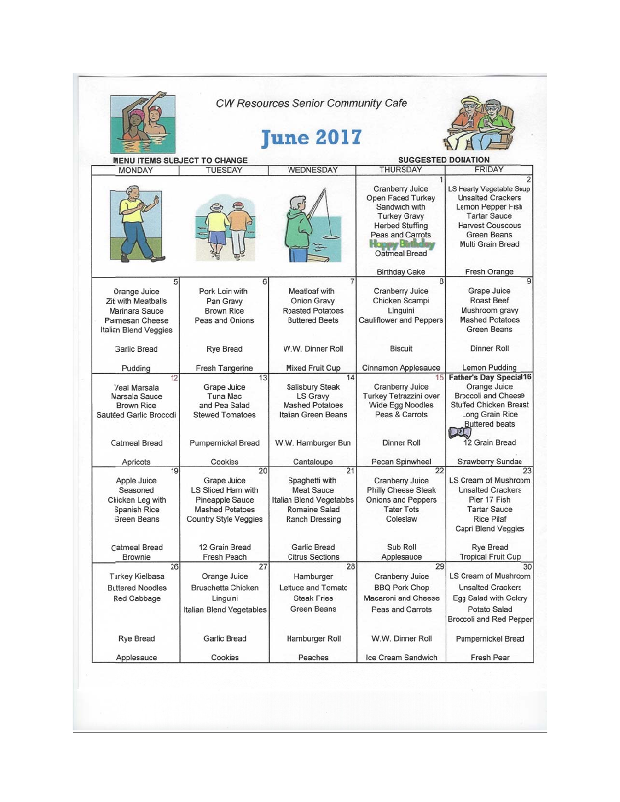|                                                                                                                             |                                                                                                                                        | <b>CW Resources Senior Community Cafe</b><br><b>June 2017</b>                                                                               |                                                                                                                                                    |                                                                                                                                                                                            |
|-----------------------------------------------------------------------------------------------------------------------------|----------------------------------------------------------------------------------------------------------------------------------------|---------------------------------------------------------------------------------------------------------------------------------------------|----------------------------------------------------------------------------------------------------------------------------------------------------|--------------------------------------------------------------------------------------------------------------------------------------------------------------------------------------------|
| <b>MENU ITEMS SUBJECT TO CHANGE</b>                                                                                         |                                                                                                                                        |                                                                                                                                             | <b>SUGGESTED DONATION</b>                                                                                                                          |                                                                                                                                                                                            |
| <b>MONDAY</b>                                                                                                               | <b>TUESEAY</b>                                                                                                                         | <b>WEDNESDAY</b>                                                                                                                            | <b>THURSDAY</b>                                                                                                                                    | <b>FRIDAY</b>                                                                                                                                                                              |
|                                                                                                                             |                                                                                                                                        |                                                                                                                                             | Cranberry Juice<br>Open Faced Turkey<br>Sandwich with<br><b>Turkey Gravy</b><br><b>Herbed Stuffing</b><br><b>Peas and Carrots</b><br>Oatmeal Bread | LS Hearty Vegetable Soup<br><b>Unsalted Crackers</b><br>Lemon Pepper Fish<br><b>Tartar Sauce</b><br><b>Harvest Couscous</b><br><b>Green Beans</b><br>Multi Grain Bread                     |
|                                                                                                                             |                                                                                                                                        |                                                                                                                                             | <b>Birthday Cake</b>                                                                                                                               | Fresh Orange                                                                                                                                                                               |
| 5<br>Orange Juice<br><b>Ziti with Meatballs</b><br>Marinara Sauce<br><b>Parmesan Cheese</b><br><b>Italian Blend Veggies</b> | 6<br>Pork Loin with<br>Pan Gravy<br><b>Brown Rice</b><br>Peas and Onions                                                               | <b>Meatloaf with</b><br>Onion Gravy<br><b>Roasted Potatoes</b><br><b>Buttered Beets</b>                                                     | 8<br>Cranberry Juice<br>Chicken Scampi<br>Linguini<br><b>Cauliflower and Peppers</b>                                                               | 9<br>Grape Juice<br><b>Roast Beef</b><br>Mushroom gravy<br><b>Mashed Potatoes</b><br><b>Green Beans</b>                                                                                    |
| <b>Garlic Bread</b>                                                                                                         | <b>Rye Bread</b>                                                                                                                       | W.W. Dinner Roll                                                                                                                            | <b>Biscuit</b>                                                                                                                                     | <b>Dinner Roll</b>                                                                                                                                                                         |
| Pudding                                                                                                                     | Fresh Tangerine                                                                                                                        | <b>Mixed Fruit Cup</b>                                                                                                                      | <b>Cinnamon Applesauce</b>                                                                                                                         | Lemon Pudding                                                                                                                                                                              |
| 12<br>Veal Marsala<br>Marsala Sauce<br><b>Brown Rice</b><br>Sautéed Garlic Broccoli<br><b>Catmeal Bread</b>                 | 13<br>Grape Juice<br><b>Tuna Mac</b><br>and Pea Salad<br><b>Stewed Tonatoes</b><br><b>Pumpernickel Bread</b>                           | 14<br>Salisbury Steak<br>LS Gravy<br><b>Mashed Potatoes</b><br>Italian Green Beans<br>W.W. Hamburger Bun                                    | 15<br><b>Cranberry Juice</b><br>Turkey Tetrazzini over<br><b>Wide Egg Noodles</b><br>Peas & Carrots<br><b>Dinner Roll</b>                          | <b>Father's Day Special16</b><br>Orange Juice<br><b>Broccoli and Cheese</b><br><b>Stuffed Chicken Breast</b><br>Long Grain Rice<br><b>Buttered beats</b><br><u>רכת</u> ו<br>12 Grain Bread |
|                                                                                                                             |                                                                                                                                        |                                                                                                                                             |                                                                                                                                                    |                                                                                                                                                                                            |
| Apricots<br>19<br>Apple Juice<br>Seasoned<br>Chicken Leg with<br><b>Spanish Rice</b><br><b>Green Beans</b>                  | Cookies<br>20<br>Grape Juice<br>LS Sliced Ham with<br><b>Pineapple Sauce</b><br><b>Mashed Potatoes</b><br><b>Country Style Veggies</b> | Cantaloupe<br>21<br>Spaghetti with<br><b>Meat Sauce</b><br><b>Italian Blend Vegetables</b><br><b>Romaine Salad</b><br><b>Ranch Dressing</b> | Pecan Spinwheel<br>22<br>Cranberry Juice<br><b>Philly Cheese Steak</b><br><b>Onions and Peppers</b><br><b>Tater Tots</b><br>Coleslaw               | Strawberry Sundae<br>23<br>LS Cream of Mushroom<br><b>Unsalted Crackers</b><br>Pier 17 Fish<br><b>Tartar Sauce</b><br><b>Rice Pilaf</b><br>Capri Blend Veggies                             |
| <b>Catmeal Bread</b><br><b>Brownie</b>                                                                                      | 12 Grain Bread<br><b>Fresh Peach</b>                                                                                                   | <b>Garlic Bread</b><br><b>Citrus Sections</b>                                                                                               | Sub Roll<br>Applesauce                                                                                                                             | <b>Rve Bread</b><br><b>Tropical Fruit Cup</b>                                                                                                                                              |
| 26<br><b>Turkey Kielbasa</b><br><b>Buttered Noodles</b><br>Red Cabbage                                                      | 27<br>Orange Juice<br><b>Bruschetta Chicken</b><br>Linguni<br>Italian Blend Vegetables                                                 | 28<br>Hamburger<br>Lettuce and Tomato<br><b>Steak Fries</b><br><b>Green Beans</b>                                                           | 29<br><b>Cranberry Juice</b><br><b>BBQ Pork Chop</b><br>Macaroni and Cheese<br>Peas and Carrots                                                    | 30<br>LS Cream of Mushroom<br><b>Unsalted Crackers</b><br>Egg Salad with Celery<br>Potato Salad<br><b>Broccoli and Red Perper</b>                                                          |
| <b>Rye Bread</b>                                                                                                            | Garlic Bread                                                                                                                           | Hamburger Roll                                                                                                                              | W.W. Dinner Roll                                                                                                                                   | <b>Pumpernickel Bread</b>                                                                                                                                                                  |
|                                                                                                                             |                                                                                                                                        |                                                                                                                                             |                                                                                                                                                    |                                                                                                                                                                                            |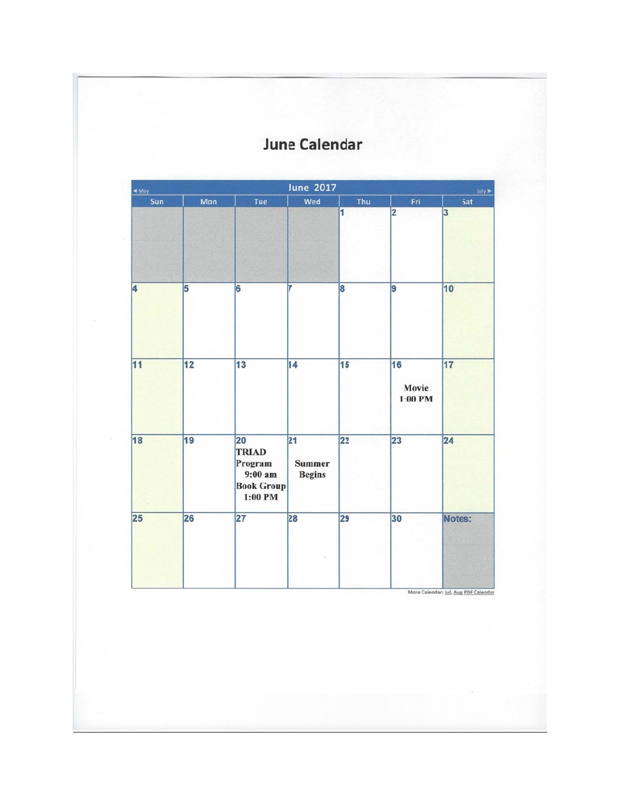